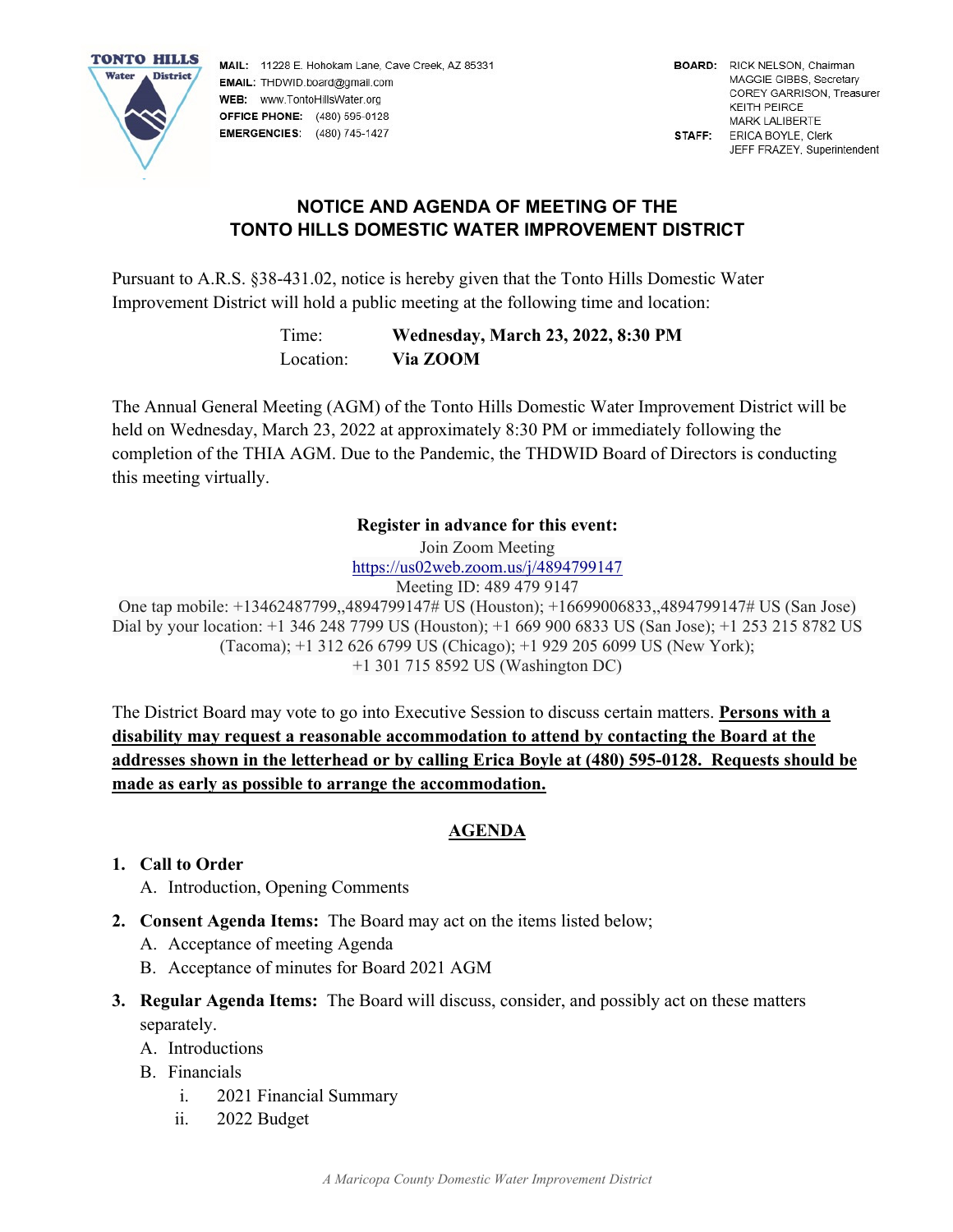

MAIL: 11228 E. Hohokam Lane, Cave Creek, AZ 85331 EMAIL: THDWID.board@gmail.com WEB: www.TontoHillsWater.org **OFFICE PHONE:** (480) 595-0128 **EMERGENCIES:** (480) 745-1427

# **NOTICE AND AGENDA OF MEETING OF THE TONTO HILLS DOMESTIC WATER IMPROVEMENT DISTRICT**

Pursuant to A.R.S. §38-431.02, notice is hereby given that the Tonto Hills Domestic Water Improvement District will hold a public meeting at the following time and location:

> Time: **Wednesday, March 23, 2022, 8:30 PM**  Location: **Via ZOOM**

The Annual General Meeting (AGM) of the Tonto Hills Domestic Water Improvement District will be held on Wednesday, March 23, 2022 at approximately 8:30 PM or immediately following the completion of the THIA AGM. Due to the Pandemic, the THDWID Board of Directors is conducting this meeting virtually.

#### **Register in advance for this event:**

Join Zoom Meeting

https://us02web.zoom.us/j/4894799147 Meeting ID: 489 479 9147

One tap mobile: +13462487799,,4894799147# US (Houston); +16699006833,,4894799147# US (San Jose) Dial by your location: +1 346 248 7799 US (Houston); +1 669 900 6833 US (San Jose); +1 253 215 8782 US (Tacoma); +1 312 626 6799 US (Chicago); +1 929 205 6099 US (New York); +1 301 715 8592 US (Washington DC)

The District Board may vote to go into Executive Session to discuss certain matters. **Persons with a disability may request a reasonable accommodation to attend by contacting the Board at the addresses shown in the letterhead or by calling Erica Boyle at (480) 595-0128. Requests should be made as early as possible to arrange the accommodation.** 

## **AGENDA**

## **1. Call to Order**

- A. Introduction, Opening Comments
- **2. Consent Agenda Items:** The Board may act on the items listed below;
	- A. Acceptance of meeting Agenda
	- B. Acceptance of minutes for Board 2021 AGM
- **3. Regular Agenda Items:** The Board will discuss, consider, and possibly act on these matters separately.
	- A. Introductions
	- B. Financials
		- i. 2021 Financial Summary
		- ii. 2022 Budget